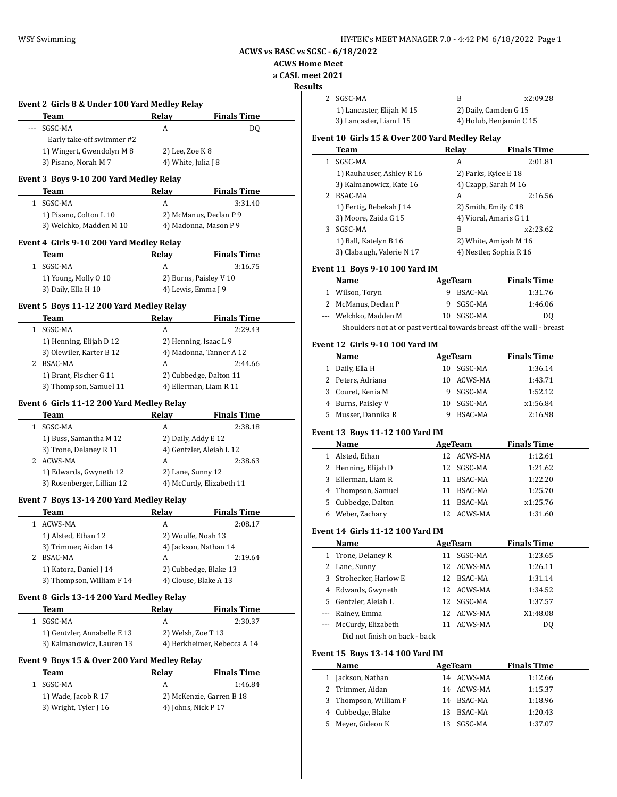$\overline{\phantom{0}}$ 

**ACWS vs BASC vs SGSC - 6/18/2022**

**ACWS Home Meet**

**a CASL meet 2021**

|       |                                               |                     |                             | <b>Results</b> |
|-------|-----------------------------------------------|---------------------|-----------------------------|----------------|
|       | Event 2 Girls 8 & Under 100 Yard Medley Relay |                     |                             |                |
|       | Team                                          | Relay               | <b>Finals Time</b>          |                |
| $---$ | SGSC-MA                                       | A                   | DQ                          |                |
|       | Early take-off swimmer #2                     |                     |                             | Ever           |
|       | 1) Wingert, Gwendolyn M 8                     | 2) Lee, Zoe K 8     |                             |                |
|       | 3) Pisano, Norah M 7                          | 4) White, Julia J 8 |                             |                |
|       | Event 3 Boys 9-10 200 Yard Medley Relay       |                     |                             |                |
|       | Team                                          | Relay               | <b>Finals Time</b>          |                |
|       | 1 SGSC-MA                                     | A                   | 3:31.40                     |                |
|       | 1) Pisano, Colton L 10                        |                     | 2) McManus, Declan P 9      |                |
|       | 3) Welchko, Madden M 10                       |                     | 4) Madonna, Mason P 9       |                |
|       |                                               |                     |                             |                |
|       | Event 4 Girls 9-10 200 Yard Medley Relay      |                     |                             |                |
|       | Team                                          | Relay               | <b>Finals Time</b>          |                |
|       | 1 SGSC-MA                                     | A                   | 3:16.75                     | Ever           |
|       | 1) Young, Molly O 10                          |                     | 2) Burns, Paisley V 10      |                |
|       | 3) Daily, Ella H 10                           | 4) Lewis, Emma J 9  |                             |                |
|       | Event 5 Boys 11-12 200 Yard Medley Relay      |                     |                             |                |
|       | <b>Team</b>                                   | Relay               | <b>Finals Time</b>          |                |
|       | 1 SGSC-MA                                     | A                   | 2:29.43                     |                |
|       | 1) Henning, Elijah D 12                       |                     | 2) Henning, Isaac L 9       | Ever           |
|       | 3) Olewiler, Karter B 12                      |                     | 4) Madonna, Tanner A 12     |                |
|       | 2 BSAC-MA                                     | A                   | 2:44.66                     |                |
|       | 1) Brant, Fischer G 11                        |                     | 2) Cubbedge, Dalton 11      |                |
|       | 3) Thompson, Samuel 11                        |                     | 4) Ellerman, Liam R 11      |                |
|       |                                               |                     |                             |                |
|       | Event 6 Girls 11-12 200 Yard Medley Relay     |                     |                             |                |
|       | Team                                          | Relay               | <b>Finals Time</b>          |                |
|       | 1 SGSC-MA                                     | A                   | 2:38.18                     | Ever           |
|       | 1) Buss, Samantha M 12                        | 2) Daily, Addy E 12 |                             |                |
|       | 3) Trone, Delaney R 11                        |                     | 4) Gentzler, Aleiah L 12    |                |
|       | 2 ACWS-MA                                     | A                   | 2:38.63                     |                |
|       | 1) Edwards, Gwyneth 12                        | 2) Lane, Sunny 12   |                             |                |
|       | 3) Rosenberger, Lillian 12                    |                     | 4) McCurdy, Elizabeth 11    |                |
|       | Event 7 Boys 13-14 200 Yard Medley Relay      |                     |                             |                |
|       | Team                                          | Relay               | <b>Finals Time</b>          |                |
|       | 1 ACWS-MA                                     | A                   | 2:08.17                     |                |
|       | 1) Alsted, Ethan 12                           | 2) Woulfe, Noah 13  |                             | Ever           |
|       | 3) Trimmer, Aidan 14                          |                     | 4) Jackson, Nathan 14       |                |
|       | 2 BSAC-MA                                     | A                   | 2:19.64                     |                |
|       | 1) Katora, Daniel J 14                        |                     | 2) Cubbedge, Blake 13       |                |
|       | 3) Thompson, William F 14                     |                     | 4) Clouse, Blake A 13       |                |
|       | Event 8 Girls 13-14 200 Yard Medley Relay     |                     |                             |                |
|       | Team                                          | Relay               | <b>Finals Time</b>          |                |
|       | 1 SGSC-MA                                     | A                   | 2:30.37                     |                |
|       | 1) Gentzler, Annabelle E 13                   | 2) Welsh, Zoe T 13  |                             |                |
|       |                                               |                     | 4) Berkheimer, Rebecca A 14 |                |
|       |                                               |                     |                             | Ever           |
|       | 3) Kalmanowicz, Lauren 13                     |                     |                             |                |
|       | Event 9 Boys 15 & Over 200 Yard Medley Relay  |                     |                             |                |
|       | Team                                          | Relay               | <b>Finals Time</b>          |                |
|       | 1 SGSC-MA                                     | A                   | 1:46.84                     |                |
|       | 1) Wade, Jacob R 17                           |                     | 2) McKenzie, Garren B 18    |                |
|       | 3) Wright, Tyler J 16                         | 4) Johns, Nick P 17 |                             |                |

| 90 ZUZ 1     |                                                                        |    |                         |                    |
|--------------|------------------------------------------------------------------------|----|-------------------------|--------------------|
| lts<br>2     | SGSC-MA                                                                |    | B                       | x2:09.28           |
|              | 1) Lancaster, Elijah M 15                                              |    | 2) Daily, Camden G 15   |                    |
|              | 3) Lancaster, Liam I 15                                                |    | 4) Holub, Benjamin C 15 |                    |
|              |                                                                        |    |                         |                    |
|              | Event 10  Girls 15 & Over 200 Yard Medley Relay<br>Team                |    | Relay                   | <b>Finals Time</b> |
| $\mathbf{1}$ | SGSC-MA                                                                |    | A                       | 2:01.81            |
|              | 1) Rauhauser, Ashley R 16                                              |    | 2) Parks, Kylee E 18    |                    |
|              | 3) Kalmanowicz, Kate 16                                                |    | 4) Czapp, Sarah M 16    |                    |
|              | 2 BSAC-MA                                                              |    | A                       | 2:16.56            |
|              | 1) Fertig, Rebekah J 14                                                |    | 2) Smith, Emily C 18    |                    |
|              | 3) Moore, Zaida G 15                                                   |    | 4) Vioral, Amaris G 11  |                    |
|              | 3 SGSC-MA                                                              |    | B                       | x2:23.62           |
|              | 1) Ball, Katelyn B 16                                                  |    | 2) White, Amiyah M 16   |                    |
|              | 3) Clabaugh, Valerie N 17                                              |    | 4) Nestler, Sophia R 16 |                    |
|              | Event 11  Boys 9-10 100 Yard IM                                        |    |                         |                    |
|              | Name                                                                   |    | AgeTeam                 | <b>Finals Time</b> |
|              | 1 Wilson, Toryn                                                        |    | 9 BSAC-MA               | 1:31.76            |
|              | 2 McManus, Declan P                                                    |    | 9 SGSC-MA               | 1:46.06            |
| ---          | Welchko, Madden M                                                      |    | 10 SGSC-MA              | DQ                 |
|              | Shoulders not at or past vertical towards breast off the wall - breast |    |                         |                    |
|              |                                                                        |    |                         |                    |
|              | Event 12 Girls 9-10 100 Yard IM                                        |    |                         |                    |
|              | Name                                                                   |    | AgeTeam                 | <b>Finals Time</b> |
|              | 1 Daily, Ella H                                                        |    | 10 SGSC-MA              | 1:36.14            |
|              | 2 Peters, Adriana                                                      |    | 10 ACWS-MA              | 1:43.71            |
|              | 3 Couret, Kenia M                                                      |    | 9 SGSC-MA               | 1:52.12            |
|              | 4 Burns, Paisley V                                                     |    | 10 SGSC-MA<br>BSAC-MA   | x1:56.84           |
| 5            | Musser, Dannika R                                                      | 9  |                         | 2:16.98            |
|              | Event 13 Boys 11-12 100 Yard IM                                        |    |                         |                    |
|              | Name                                                                   |    | AgeTeam                 | <b>Finals Time</b> |
| $\mathbf{1}$ | Alsted, Ethan                                                          |    | 12 ACWS-MA              | 1:12.61            |
| 2            | Henning, Elijah D                                                      |    | 12 SGSC-MA              | 1:21.62            |
| 3            | Ellerman, Liam R                                                       |    | 11 BSAC-MA              | 1:22.20            |
|              | 4 Thompson, Samuel                                                     |    | 11 BSAC-MA              | 1:25.70            |
| 5            | Cubbedge, Dalton                                                       |    | 11 BSAC-MA              | x1:25.76           |
|              | 6 Weber, Zachary                                                       |    | 12 ACWS-MA              | 1:31.60            |
|              | Event 14  Girls 11-12 100 Yard IM                                      |    |                         |                    |
|              | <b>Name</b>                                                            |    | <b>AgeTeam</b>          | <b>Finals Time</b> |
| $\mathbf{1}$ | Trone, Delaney R                                                       | 11 | SGSC-MA                 | 1:23.65            |
| 2            | Lane, Sunny                                                            | 12 | ACWS-MA                 | 1:26.11            |
| 3            | Strohecker, Harlow E                                                   |    | 12 BSAC-MA              | 1:31.14            |
| 4            | Edwards, Gwyneth                                                       |    | 12 ACWS-MA              | 1:34.52            |
|              | 5 Gentzler, Aleiah L                                                   |    | 12 SGSC-MA              | 1:37.57            |
|              | --- Rainey, Emma                                                       | 12 | ACWS-MA                 | X1:48.08           |
|              | --- McCurdy, Elizabeth                                                 | 11 | ACWS-MA                 | DQ                 |
|              | Did not finish on back - back                                          |    |                         |                    |
|              | Event 15 Boys 13-14 100 Yard IM                                        |    |                         |                    |
|              | Name                                                                   |    | AgeTeam                 | <b>Finals Time</b> |
| $\mathbf{1}$ | Jackson, Nathan                                                        |    | 14 ACWS-MA              | 1:12.66            |
| 2            | Trimmer, Aidan                                                         |    | 14 ACWS-MA              | 1:15.37            |
| 3            | Thompson, William F                                                    |    | 14 BSAC-MA              | 1:18.96            |
| 4            | Cubbedge, Blake                                                        |    | 13 BSAC-MA              | 1:20.43            |
| 5            | Meyer, Gideon K                                                        | 13 | SGSC-MA                 | 1:37.07            |
|              |                                                                        |    |                         |                    |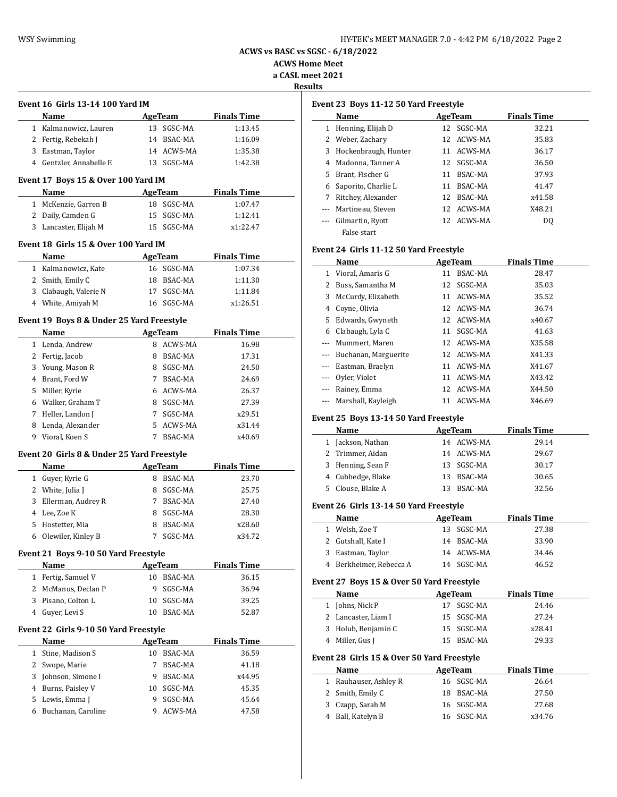**ACWS Home Meet a CASL meet 2021**

**Results** 

| . |
|---|
|   |
|   |

|              | Event 16  Girls 13-14 100 Yard IM          |        |                    |                    |
|--------------|--------------------------------------------|--------|--------------------|--------------------|
|              | Name                                       |        | <b>AgeTeam</b>     | <b>Finals Time</b> |
|              | 1 Kalmanowicz, Lauren                      |        | 13 SGSC-MA         | 1:13.45            |
|              | 2 Fertig, Rebekah J                        |        | 14 BSAC-MA         | 1:16.09            |
|              | 3 Eastman, Taylor                          |        | 14 ACWS-MA         | 1:35.38            |
|              | 4 Gentzler, Annabelle E                    |        | 13 SGSC-MA         | 1:42.38            |
|              | Event 17 Boys 15 & Over 100 Yard IM        |        |                    |                    |
|              | Name                                       |        | AgeTeam            | <b>Finals Time</b> |
|              | 1 McKenzie, Garren B                       |        | 18 SGSC-MA         | 1:07.47            |
|              | 2 Daily, Camden G                          |        | 15 SGSC-MA         | 1:12.41            |
|              | 3 Lancaster, Elijah M                      |        | 15 SGSC-MA         | x1:22.47           |
|              | Event 18  Girls 15 & Over 100 Yard IM      |        |                    |                    |
|              | Name                                       |        | <b>AgeTeam</b>     | <b>Finals Time</b> |
|              | 1 Kalmanowicz, Kate                        |        | 16 SGSC-MA         | 1:07.34            |
|              | 2 Smith, Emily C                           |        | 18 BSAC-MA         | 1:11.30            |
|              | 3 Clabaugh, Valerie N                      | 17     | SGSC-MA            | 1:11.84            |
|              | 4 White, Amiyah M                          |        | 16 SGSC-MA         | x1:26.51           |
|              | Event 19 Boys 8 & Under 25 Yard Freestyle  |        |                    |                    |
|              | Name                                       |        | <b>AgeTeam</b>     | <b>Finals Time</b> |
|              | 1 Lenda, Andrew                            |        | 8 ACWS-MA          | 16.98              |
|              | 2 Fertig, Jacob                            |        | 8 BSAC-MA          | 17.31              |
|              | 3 Young, Mason R                           |        | 8 SGSC-MA          | 24.50              |
|              | 4 Brant, Ford W                            |        | 7 BSAC-MA          | 24.69              |
| 5            | Miller, Kyrie                              |        | 6 ACWS-MA          | 26.37              |
|              | 6 Walker, Graham T                         |        | 8 SGSC-MA          | 27.39              |
| 7            | Heller, Landon J                           | 7      | SGSC-MA            | x29.51             |
| 8            | Lenda, Alexander                           | 5      | ACWS-MA            | x31.44             |
|              | 9 Vioral, Koen S                           | 7      | BSAC-MA            | x40.69             |
|              | Event 20 Girls 8 & Under 25 Yard Freestyle |        |                    |                    |
|              | Name                                       |        | <b>AgeTeam</b>     | <b>Finals Time</b> |
|              | 1 Guyer, Kyrie G                           |        | 8 BSAC-MA          | 23.70              |
|              | 2 White, Julia J                           |        | 8 SGSC-MA          | 25.75              |
| 3            | Ellerman, Audrey R                         |        | 7 BSAC-MA          | 27.40              |
| 4            | Lee, Zoe K                                 | 8      | SGSC-MA            | 28.30              |
| 5            | Hostetter, Mia                             | 8      | <b>BSAC-MA</b>     | x28.60             |
|              | 6 Olewiler, Kinley B                       | 7      | SGSC-MA            | x34.72             |
|              |                                            |        |                    |                    |
|              |                                            |        |                    |                    |
|              | Event 21 Boys 9-10 50 Yard Freestyle       |        |                    |                    |
|              | Name                                       |        | <b>AgeTeam</b>     | <b>Finals Time</b> |
| $\mathbf{1}$ | Fertig, Samuel V                           |        | 10 BSAC-MA         | 36.15              |
| 2            | McManus, Declan P                          | 9      | SGSC-MA            | 36.94              |
| 3            | Pisano, Colton L                           | 10     | SGSC-MA            | 39.25              |
|              | 4 Guyer, Levi S                            | 10     | BSAC-MA            | 52.87              |
|              | Event 22 Girls 9-10 50 Yard Freestyle      |        |                    |                    |
|              | Name                                       |        | <b>AgeTeam</b>     | <b>Finals Time</b> |
| $\mathbf{1}$ | Stine, Madison S                           |        | 10 BSAC-MA         | 36.59              |
| 2            | Swope, Marie                               | 7      | BSAC-MA            | 41.18              |
| 3            | Johnson, Simone I                          | 9      | BSAC-MA            | x44.95             |
| 4            | Burns, Paisley V                           | 10     | SGSC-MA            | 45.35              |
| 5<br>6       | Lewis, Emma J<br>Buchanan, Caroline        | 9<br>9 | SGSC-MA<br>ACWS-MA | 45.64<br>47.58     |

| Event 23 Boys 11-12 50 Yard Freestyle |  |  |  |
|---------------------------------------|--|--|--|

| Event 23 Boys 11-12 50 Yard Freestyle |                      |         |            |                    |  |
|---------------------------------------|----------------------|---------|------------|--------------------|--|
|                                       | Name                 | AgeTeam |            | <b>Finals Time</b> |  |
| 1                                     | Henning, Elijah D    | 12.     | SGSC-MA    | 32.21              |  |
|                                       | 2 Weber, Zachary     |         | 12 ACWS-MA | 35.83              |  |
| 3                                     | Hockenbraugh, Hunter |         | 11 ACWS-MA | 36.17              |  |
| 4                                     | Madonna, Tanner A    | 12      | SGSC-MA    | 36.50              |  |
| 5.                                    | Brant, Fischer G     | 11      | BSAC-MA    | 37.93              |  |
| 6                                     | Saporito, Charlie L  | 11      | BSAC-MA    | 41.47              |  |
| 7                                     | Ritchey, Alexander   | 12      | BSAC-MA    | x41.58             |  |
|                                       | Martineau, Steven    |         | 12 ACWS-MA | X48.21             |  |
|                                       | Gilmartin, Ryott     |         | 12 ACWS-MA | DO.                |  |
|                                       | False start          |         |            |                    |  |

## **Event 24 Girls 11-12 50 Yard Freestyle**

|                   | Name                     |    | AgeTeam    | <b>Finals Time</b> |  |
|-------------------|--------------------------|----|------------|--------------------|--|
| 1                 | Vioral, Amaris G         | 11 | BSAC-MA    | 28.47              |  |
|                   | Buss, Samantha M         | 12 | SGSC-MA    | 35.03              |  |
| 3                 | McCurdy, Elizabeth       | 11 | ACWS-MA    | 35.52              |  |
| 4                 | Coyne, Olivia            |    | 12 ACWS-MA | 36.74              |  |
|                   | 5 Edwards, Gwyneth       |    | 12 ACWS-MA | x40.67             |  |
| 6                 | Clabaugh, Lyla C         | 11 | SGSC-MA    | 41.63              |  |
|                   | --- Mummert, Maren       |    | 12 ACWS-MA | X35.58             |  |
|                   | --- Buchanan, Marguerite |    | 12 ACWS-MA | X41.33             |  |
|                   | Eastman, Braelyn         | 11 | ACWS-MA    | X41.67             |  |
| $\qquad \qquad -$ | Oyler, Violet            | 11 | ACWS-MA    | X43.42             |  |
|                   | Rainey, Emma             | 12 | ACWS-MA    | X44.50             |  |
|                   | Marshall, Kayleigh       | 11 | ACWS-MA    | X46.69             |  |

## **Event 25 Boys 13-14 50 Yard Freestyle**

| Name              | AgeTeam |            | <b>Finals Time</b> |
|-------------------|---------|------------|--------------------|
| 1 Jackson, Nathan |         | 14 ACWS-MA | 29.14              |
| 2 Trimmer, Aidan  |         | 14 ACWS-MA | 29.67              |
| 3 Henning, Sean F |         | 13 SGSC-MA | 30.17              |
| 4 Cubbedge, Blake |         | 13 BSAC-MA | 30.65              |
| 5 Clouse, Blake A | 13.     | BSAC-MA    | 32.56              |

#### **Event 26 Girls 13-14 50 Yard Freestyle**

| Name                    | AgeTeam |            | <b>Finals Time</b> |
|-------------------------|---------|------------|--------------------|
| 1 Welsh, Zoe T          |         | 13 SGSC-MA | 27.38              |
| 2 Gutshall, Kate I      |         | 14 BSAC-MA | 33.90              |
| 3 Eastman, Taylor       |         | 14 ACWS-MA | 34.46              |
| 4 Berkheimer, Rebecca A |         | 14 SGSC-MA | 46.52              |

### **Event 27 Boys 15 & Over 50 Yard Freestyle**

| Name                | AgeTeam |            | <b>Finals Time</b> |  |
|---------------------|---------|------------|--------------------|--|
| 1 Johns, Nick P     |         | 17 SGSC-MA | 24.46              |  |
| 2 Lancaster, Liam I |         | 15 SGSC-MA | 27.24              |  |
| 3 Holub, Benjamin C |         | 15 SGSC-MA | x28.41             |  |
| 4 Miller, Gus J     |         | 15 BSAC-MA | 29.33              |  |

## **Event 28 Girls 15 & Over 50 Yard Freestyle**

| Name                  | AgeTeam    | <b>Finals Time</b> |  |
|-----------------------|------------|--------------------|--|
| 1 Rauhauser, Ashley R | 16 SGSC-MA | 26.64              |  |
| 2 Smith, Emily C      | 18 BSAC-MA | 27.50              |  |
| 3 Czapp, Sarah M      | 16 SGSC-MA | 27.68              |  |
| 4 Ball, Katelyn B     | 16 SGSC-MA | x34.76             |  |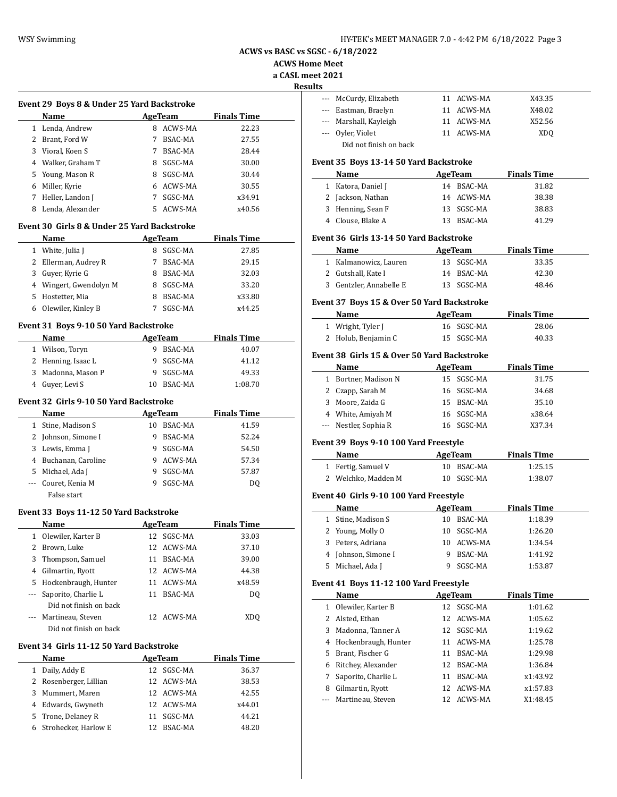**ACWS Home Meet**

**a CASL meet 2021**

**Results**

 $\overline{a}$ 

 $\overline{\phantom{a}}$ 

 $\overline{\phantom{a}}$ 

|   | Event 29 Boys 8 & Under 25 Yard Backstroke |    |                |                    |  |  |  |
|---|--------------------------------------------|----|----------------|--------------------|--|--|--|
|   | Name                                       |    | AgeTeam        | <b>Finals Time</b> |  |  |  |
| 1 | Lenda, Andrew                              | 8  | ACWS-MA        | 22.23              |  |  |  |
| 2 | Brant, Ford W                              |    | <b>BSAC-MA</b> | 27.55              |  |  |  |
| 3 | Vioral, Koen S                             |    | BSAC-MA        | 28.44              |  |  |  |
| 4 | Walker, Graham T                           | 8  | SGSC-MA        | 30.00              |  |  |  |
|   | 5 Young, Mason R                           | 8  | SGSC-MA        | 30.44              |  |  |  |
| 6 | Miller, Kyrie                              | 6  | ACWS-MA        | 30.55              |  |  |  |
| 7 | Heller, Landon J                           |    | SGSC-MA        | x34.91             |  |  |  |
| 8 | Lenda, Alexander                           | 5. | ACWS-MA        | x40.56             |  |  |  |

#### **Event 30 Girls 8 & Under 25 Yard Backstroke**

| Name                   | AgeTeam             | <b>Finals Time</b> |
|------------------------|---------------------|--------------------|
| White, Julia J         | SGSC-MA<br>8        | 27.85              |
| 2 Ellerman, Audrey R   | BSAC-MA             | 29.15              |
| Guyer, Kyrie G<br>3    | <b>BSAC-MA</b><br>8 | 32.03              |
| 4 Wingert, Gwendolyn M | SGSC-MA<br>8        | 33.20              |
| Hostetter, Mia<br>5.   | <b>BSAC-MA</b><br>8 | x33.80             |
| Olewiler, Kinley B     | SGSC-MA             | x44.25             |

#### **Event 31 Boys 9-10 50 Yard Backstroke**

| Name                          | AgeTeam       | <b>Finals Time</b> |
|-------------------------------|---------------|--------------------|
| Wilson, Toryn<br>$\mathbf{1}$ | BSAC-MA       | 40.07              |
| 2 Henning, Isaac L            | 9 SGSC-MA     | 41.12              |
| 3 Madonna, Mason P            | 9 SGSC-MA     | 49.33              |
| 4 Guyer, Levi S               | BSAC-MA<br>10 | 1:08.70            |

## **Event 32 Girls 9-10 50 Yard Backstroke**

|   | <b>Name</b>          |    | AgeTeam | <b>Finals Time</b> |  |
|---|----------------------|----|---------|--------------------|--|
| 1 | Stine, Madison S     | 10 | BSAC-MA | 41.59              |  |
|   | 2 Johnson, Simone I  |    | BSAC-MA | 52.24              |  |
|   | 3 Lewis, Emma J      |    | SGSC-MA | 54.50              |  |
|   | 4 Buchanan, Caroline |    | ACWS-MA | 57.34              |  |
|   | 5 Michael, Ada J     |    | SGSC-MA | 57.87              |  |
|   | Couret, Kenia M      |    | SGSC-MA | DO.                |  |
|   | False start          |    |         |                    |  |

#### **Event 33 Boys 11-12 50 Yard Backstroke**

|   | Name                   | AgeTeam |            | <b>Finals Time</b> |  |
|---|------------------------|---------|------------|--------------------|--|
| 1 | Olewiler, Karter B     |         | 12 SGSC-MA | 33.03              |  |
|   | 2 Brown, Luke          |         | 12 ACWS-MA | 37.10              |  |
|   | 3 Thompson, Samuel     | 11      | BSAC-MA    | 39.00              |  |
| 4 | Gilmartin, Ryott       |         | 12 ACWS-MA | 44.38              |  |
|   | 5 Hockenbraugh, Hunter | 11      | ACWS-MA    | x48.59             |  |
|   | Saporito, Charlie L    | 11      | BSAC-MA    | DO.                |  |
|   | Did not finish on back |         |            |                    |  |
|   | Martineau, Steven      |         | 12 ACWS-MA | XDO                |  |
|   | Did not finish on back |         |            |                    |  |

#### **Event 34 Girls 11-12 50 Yard Backstroke**

|   | <b>Name</b>            | AgeTeam    | <b>Finals Time</b> |
|---|------------------------|------------|--------------------|
|   | Daily, Addy E          | 12 SGSC-MA | 36.37              |
|   | 2 Rosenberger, Lillian | 12 ACWS-MA | 38.53              |
| 3 | Mummert, Maren         | 12 ACWS-MA | 42.55              |
|   | 4 Edwards, Gwyneth     | 12 ACWS-MA | x44.01             |
|   | 5 Trone, Delaney R     | SGSC-MA    | 44.21              |
| 6 | Strohecker, Harlow E   | BSAC-MA    | 48.20              |

| .э |                        |            |                 |  |
|----|------------------------|------------|-----------------|--|
|    | --- McCurdy, Elizabeth | 11 ACWS-MA | X43.35          |  |
|    | --- Eastman, Braelyn   | 11 ACWS-MA | X48.02          |  |
|    | --- Marshall, Kayleigh | 11 ACWS-MA | X52.56          |  |
|    | --- Oyler, Violet      | 11 ACWS-MA | XD <sub>0</sub> |  |
|    | Did not finish on back |            |                 |  |

#### **Event 35 Boys 13-14 50 Yard Backstroke**

| Name               | AgeTeam        | <b>Finals Time</b> |  |
|--------------------|----------------|--------------------|--|
| 1 Katora, Daniel J | 14 BSAC-MA     | 31.82              |  |
| 2 Jackson, Nathan  | 14 ACWS-MA     | 38.38              |  |
| 3 Henning, Sean F  | 13 SGSC-MA     | 38.83              |  |
| 4 Clouse, Blake A  | BSAC-MA<br>13. | 41.29              |  |

## **Event 36 Girls 13-14 50 Yard Backstroke**

| Name                    | AgeTeam    | <b>Finals Time</b> |
|-------------------------|------------|--------------------|
| 1 Kalmanowicz, Lauren   | 13 SGSC-MA | 33.35              |
| 2 Gutshall, Kate I      | 14 BSAC-MA | 42.30              |
| 3 Gentzler, Annabelle E | 13 SGSC-MA | 48.46              |

#### **Event 37 Boys 15 & Over 50 Yard Backstroke**

| <b>Name</b>         | AgeTeam    | <b>Finals Time</b> |
|---------------------|------------|--------------------|
| 1 Wright, Tyler J   | 16 SGSC-MA | 28.06              |
| 2 Holub, Benjamin C | 15 SGSC-MA | 40.33              |

## **Event 38 Girls 15 & Over 50 Yard Backstroke**

|   | Name                  | AgeTeam    | <b>Finals Time</b> |  |
|---|-----------------------|------------|--------------------|--|
| 1 | Bortner, Madison N    | 15 SGSC-MA | 31.75              |  |
|   | 2 Czapp, Sarah M      | 16 SGSC-MA | 34.68              |  |
| 3 | Moore, Zaida G        | 15 BSAC-MA | 35.10              |  |
|   | 4 White, Amiyah M     | 16 SGSC-MA | x38.64             |  |
|   | --- Nestler, Sophia R | 16 SGSC-MA | X37.34             |  |

## **Event 39 Boys 9-10 100 Yard Freestyle**

|  | Name                | AgeTeam    | <b>Finals Time</b> |  |
|--|---------------------|------------|--------------------|--|
|  | 1 Fertig, Samuel V  | 10 BSAC-MA | 1:25.15            |  |
|  | 2 Welchko, Madden M | 10 SGSC-MA | 1:38.07            |  |

### **Event 40 Girls 9-10 100 Yard Freestyle**

|    | Name                |    | AgeTeam    | <b>Finals Time</b> |
|----|---------------------|----|------------|--------------------|
|    | 1 Stine, Madison S  | 10 | BSAC-MA    | 1:18.39            |
|    | 2 Young, Molly O    | 10 | SGSC-MA    | 1:26.20            |
|    | 3 Peters, Adriana   |    | 10 ACWS-MA | 1:34.54            |
|    | 4 Johnson, Simone I |    | BSAC-MA    | 1:41.92            |
| 5. | Michael, Ada J      |    | SGSC-MA    | 1:53.87            |

## **Event 41 Boys 11-12 100 Yard Freestyle**

|              | Name                   | AgeTeam |            | <b>Finals Time</b> |  |
|--------------|------------------------|---------|------------|--------------------|--|
| $\mathbf{1}$ | Olewiler, Karter B     | 12      | SGSC-MA    | 1:01.62            |  |
|              | 2 Alsted, Ethan        |         | 12 ACWS-MA | 1:05.62            |  |
|              | 3 Madonna, Tanner A    | 12      | SGSC-MA    | 1:19.62            |  |
|              | 4 Hockenbraugh, Hunter | 11      | ACWS-MA    | 1:25.78            |  |
|              | 5 Brant, Fischer G     | 11      | BSAC-MA    | 1:29.98            |  |
| 6            | Ritchey, Alexander     | 12      | BSAC-MA    | 1:36.84            |  |
|              | Saporito, Charlie L    | 11      | BSAC-MA    | x1:43.92           |  |
| 8            | Gilmartin, Ryott       | 12      | ACWS-MA    | x1:57.83           |  |
|              | Martineau, Steven      | 12      | ACWS-MA    | X1:48.45           |  |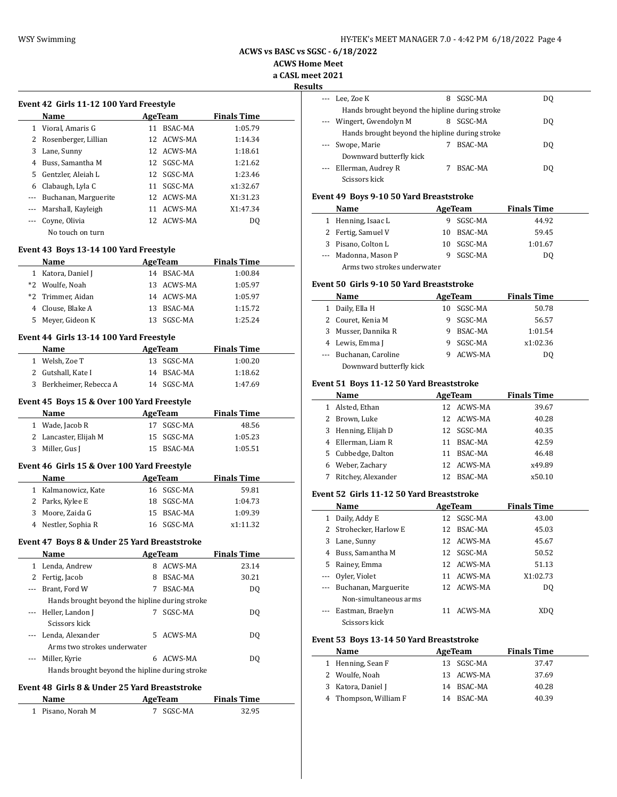**ACWS Home Meet**

**a CASL meet 2021**

**Results**

 $\frac{1}{2}$ 

 $\overline{a}$ 

|          | <b>Name</b>          |     | AgeTeam    | <b>Finals Time</b> |
|----------|----------------------|-----|------------|--------------------|
| 1.       | Vioral, Amaris G     | 11  | BSAC-MA    | 1:05.79            |
|          | Rosenberger, Lillian | 12. | ACWS-MA    | 1:14.34            |
| 3        | Lane, Sunny          |     | 12 ACWS-MA | 1:18.61            |
| 4        | Buss, Samantha M     |     | 12 SGSC-MA | 1:21.62            |
| 5.       | Gentzler, Aleiah L   | 12. | SGSC-MA    | 1:23.46            |
| 6        | Clabaugh, Lyla C     | 11  | SGSC-MA    | x1:32.67           |
|          | Buchanan, Marguerite |     | 12 ACWS-MA | X1:31.23           |
| $\cdots$ | Marshall, Kayleigh   | 11  | ACWS-MA    | X1:47.34           |
|          | Coyne, Olivia        |     | 12 ACWS-MA | DO.                |
|          | No touch on turn     |     |            |                    |

#### **Event 43 Boys 13-14 100 Yard Freestyle**

|      | <b>Name</b>        |    | AgeTeam    | <b>Finals Time</b> |
|------|--------------------|----|------------|--------------------|
|      | 1 Katora, Daniel J |    | 14 BSAC-MA | 1:00.84            |
| $*2$ | Woulfe, Noah       |    | 13 ACWS-MA | 1:05.97            |
|      | *2 Trimmer, Aidan  |    | 14 ACWS-MA | 1:05.97            |
|      | 4 Clouse, Blake A  |    | 13 BSAC-MA | 1:15.72            |
|      | 5 Meyer, Gideon K  | 13 | SGSC-MA    | 1:25.24            |

## **Event 44 Girls 13-14 100 Yard Freestyle**

|                                            | <b>Name</b>             |  | AgeTeam    | <b>Finals Time</b> |  |
|--------------------------------------------|-------------------------|--|------------|--------------------|--|
|                                            | Welsh, Zoe T            |  | 13 SGSC-MA | 1:00.20            |  |
|                                            | 2 Gutshall, Kate I      |  | 14 BSAC-MA | 1:18.62            |  |
|                                            | 3 Berkheimer, Rebecca A |  | 14 SGSC-MA | 1:47.69            |  |
| Event 45 Boys 15 & Over 100 Yard Freestyle |                         |  |            |                    |  |

|   | <b>Name</b>                                 |    | AgeTeam    | <b>Finals Time</b> |  |
|---|---------------------------------------------|----|------------|--------------------|--|
| 1 | Wade, Jacob R                               | 17 | SGSC-MA    | 48.56              |  |
|   | Lancaster, Elijah M                         | 15 | SGSC-MA    | 1:05.23            |  |
| 3 | Miller, Gus J                               | 15 | BSAC-MA    | 1:05.51            |  |
|   | Event 46 Girls 15 & Over 100 Yard Freestyle |    |            |                    |  |
|   |                                             |    |            |                    |  |
|   | <b>Name</b>                                 |    | AgeTeam    | <b>Finals Time</b> |  |
| 1 | Kalmanowicz, Kate                           | 16 | SGSC-MA    | 59.81              |  |
| 2 | Parks, Kylee E                              | 18 | SGSC-MA    | 1:04.73            |  |
| 3 | Moore, Zaida G                              | 15 | BSAC-MA    | 1:09.39            |  |
| 4 | Nestler, Sophia R                           |    | 16 SGSC-MA | x1:11.32           |  |

## **Event 47 Boys 8 & Under 25 Yard Breaststroke**

|   | <b>Name</b>                                    | AgeTeam |           | <b>Finals Time</b> |  |
|---|------------------------------------------------|---------|-----------|--------------------|--|
| 1 | Lenda, Andrew                                  | 8       | ACWS-MA   | 23.14              |  |
| 2 | Fertig, Jacob                                  | 8       | BSAC-MA   | 30.21              |  |
|   | Brant, Ford W                                  |         | BSAC-MA   | DO.                |  |
|   | Hands brought beyond the hipline during stroke |         |           |                    |  |
|   | --- Heller, Landon J                           |         | SGSC-MA   | DO.                |  |
|   | Scissors kick                                  |         |           |                    |  |
|   | --- Lenda, Alexander                           |         | 5 ACWS-MA | DO.                |  |
|   | Arms two strokes underwater                    |         |           |                    |  |
|   | Miller, Kyrie                                  | 6       | ACWS-MA   | DO.                |  |
|   | Hands brought beyond the hipline during stroke |         |           |                    |  |

#### **Event 48 Girls 8 & Under 25 Yard Breaststroke**

| Name              | AgeTeam   | <b>Finals Time</b> |  |
|-------------------|-----------|--------------------|--|
| 1 Pisano, Norah M | 7 SGSC-MA | 32.95              |  |

| --- Lee, Zoe K                                 | 8 | SGSC-MA | DO  |
|------------------------------------------------|---|---------|-----|
| Hands brought beyond the hipline during stroke |   |         |     |
| --- Wingert, Gwendolyn M                       | 8 | SGSC-MA | DO. |
| Hands brought beyond the hipline during stroke |   |         |     |
| Swope, Marie                                   |   | BSAC-MA | DO. |
| Downward butterfly kick                        |   |         |     |
| Ellerman, Audrey R                             |   | BSAC-MA | DO. |
| Scissors kick                                  |   |         |     |

#### **Event 49 Boys 9-10 50 Yard Breaststroke**

|   | Name                        |    | AgeTeam | <b>Finals Time</b> |  |
|---|-----------------------------|----|---------|--------------------|--|
|   | Henning, Isaac L            | 9  | SGSC-MA | 44.92              |  |
|   | 2 Fertig, Samuel V          | 10 | BSAC-MA | 59.45              |  |
| 3 | Pisano, Colton L            | 10 | SGSC-MA | 1:01.67            |  |
|   | --- Madonna, Mason P        | 9  | SGSC-MA | DO.                |  |
|   | Arms two strokes underwater |    |         |                    |  |

#### **Event 50 Girls 9-10 50 Yard Breaststroke**

| Name                    | AgeTeam |                | <b>Finals Time</b> |  |
|-------------------------|---------|----------------|--------------------|--|
| Daily, Ella H           | 10      | SGSC-MA        | 50.78              |  |
| Couret, Kenia M         | 9       | SGSC-MA        | 56.57              |  |
| Musser, Dannika R       | 9       | <b>BSAC-MA</b> | 1:01.54            |  |
| Lewis, Emma J           | 9       | SGSC-MA        | x1:02.36           |  |
| Buchanan, Caroline      | ч       | ACWS-MA        | DO.                |  |
| Downward butterfly kick |         |                |                    |  |

## **Event 51 Boys 11-12 50 Yard Breaststroke**

|   | Name                |    | AgeTeam        | <b>Finals Time</b> |  |
|---|---------------------|----|----------------|--------------------|--|
|   | Alsted, Ethan       |    | 12 ACWS-MA     | 39.67              |  |
|   | Brown, Luke         |    | 12 ACWS-MA     | 40.28              |  |
|   | 3 Henning, Elijah D |    | 12 SGSC-MA     | 40.35              |  |
| 4 | Ellerman, Liam R    | 11 | BSAC-MA        | 42.59              |  |
|   | 5 Cubbedge, Dalton  | 11 | <b>BSAC-MA</b> | 46.48              |  |
| 6 | Weber, Zachary      |    | 12 ACWS-MA     | x49.89             |  |
|   | Ritchey, Alexander  |    | BSAC-MA        | x50.10             |  |

#### **Event 52 Girls 11-12 50 Yard Breaststroke**

|   | Name                  | AgeTeam        | <b>Finals Time</b> |
|---|-----------------------|----------------|--------------------|
| 1 | Daily, Addy E         | 12 SGSC-MA     | 43.00              |
| 2 | Strohecker, Harlow E  | BSAC-MA<br>12. | 45.03              |
| 3 | Lane, Sunny           | 12 ACWS-MA     | 45.67              |
| 4 | Buss, Samantha M      | 12 SGSC-MA     | 50.52              |
| 5 | Rainey, Emma          | 12 ACWS-MA     | 51.13              |
|   | Oyler, Violet         | 11 ACWS-MA     | X1:02.73           |
|   | Buchanan, Marguerite  | 12 ACWS-MA     | DO.                |
|   | Non-simultaneous arms |                |                    |
|   | Eastman, Braelyn      | ACWS-MA        | XDO                |
|   | Scissors kick         |                |                    |

## **Event 53 Boys 13-14 50 Yard Breaststroke**

| Name                  | AgeTeam    | <b>Finals Time</b> |
|-----------------------|------------|--------------------|
| 1 Henning, Sean F     | 13 SGSC-MA | 37.47              |
| 2 Woulfe, Noah        | 13 ACWS-MA | 37.69              |
| 3 Katora, Daniel J    | 14 BSAC-MA | 40.28              |
| 4 Thompson, William F | 14 BSAC-MA | 40.39              |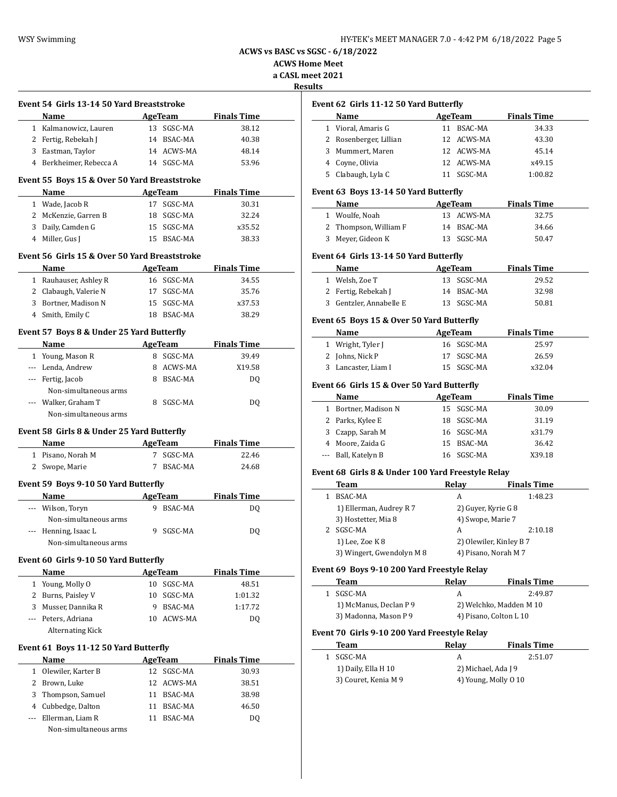| HY-TEK's MEET MANAGER 7.0 - 4:42 PM 6/18/2022 Page 5 |  |
|------------------------------------------------------|--|
|------------------------------------------------------|--|

**ACWS Home Meet a CASL meet 2021**

**Results**

| Event 54 Girls 13-14 50 Yard Breaststroke<br>Name |   | AgeTeam        | <b>Finals Time</b>          |
|---------------------------------------------------|---|----------------|-----------------------------|
| 1 Kalmanowicz, Lauren                             |   | 13 SGSC-MA     | 38.12                       |
| 2 Fertig, Rebekah J                               |   | 14 BSAC-MA     | 40.38                       |
| 3 Eastman, Taylor                                 |   | 14 ACWS-MA     | 48.14                       |
| 4 Berkheimer, Rebecca A                           |   | 14 SGSC-MA     | 53.96                       |
|                                                   |   |                |                             |
| Event 55 Boys 15 & Over 50 Yard Breaststroke      |   |                |                             |
| Name                                              |   | AgeTeam        | <b>Finals Time</b>          |
| 1 Wade, Jacob R                                   |   | 17 SGSC-MA     | 30.31                       |
| 2 McKenzie, Garren B                              |   | 18 SGSC-MA     | 32.24                       |
| 3 Daily, Camden G                                 |   | 15 SGSC-MA     | x35.52                      |
| 4 Miller, Gus J                                   |   | 15 BSAC-MA     | 38.33                       |
| Event 56 Girls 15 & Over 50 Yard Breaststroke     |   |                |                             |
| Name                                              |   | AgeTeam        | <b>Finals Time</b>          |
| 1 Rauhauser, Ashley R                             |   | 16 SGSC-MA     | 34.55                       |
| 2 Clabaugh, Valerie N                             |   | 17 SGSC-MA     | 35.76                       |
| 3 Bortner, Madison N                              |   | 15 SGSC-MA     | x37.53                      |
| 4 Smith, Emily C                                  |   | 18 BSAC-MA     | 38.29                       |
|                                                   |   |                |                             |
| Event 57 Boys 8 & Under 25 Yard Butterfly         |   |                |                             |
| Name                                              |   | AgeTeam        | <b>Finals Time</b>          |
| 1 Young, Mason R                                  |   | 8 SGSC-MA      | 39.49                       |
| --- Lenda, Andrew                                 |   | 8 ACWS-MA      | X19.58                      |
| --- Fertig, Jacob                                 |   | 8 BSAC-MA      | DQ                          |
| Non-simultaneous arms                             |   |                |                             |
| --- Walker, Graham T                              |   | 8 SGSC-MA      | DQ                          |
| Non-simultaneous arms                             |   |                |                             |
| Event 58  Girls 8 & Under 25 Yard Butterfly       |   |                |                             |
| Name                                              |   | AgeTeam        | <b>Finals Time</b>          |
| 1 Pisano, Norah M                                 | 7 | SGSC-MA        | 22.46                       |
| 2 Swope, Marie                                    |   | 7 BSAC-MA      | 24.68                       |
| Event 59 Boys 9-10 50 Yard Butterfly              |   |                |                             |
| Name                                              |   | <b>AgeTeam</b> | <b>Finals Time</b>          |
| --- Wilson, Toryn                                 |   | 9 BSAC-MA      | DQ                          |
| Non-simultaneous arms                             |   |                |                             |
| --- Henning, Isaac L                              |   | 9 SGSC-MA      | DQ                          |
| Non-simultaneous arms                             |   |                |                             |
| Event 60 Girls 9-10 50 Yard Butterfly             |   |                |                             |
| Name                                              |   | <b>AgeTeam</b> | <b>Finals Time</b>          |
| 1 Young, Molly O                                  |   | 10 SGSC-MA     | 48.51                       |
|                                                   |   |                |                             |
|                                                   |   |                |                             |
| 2 Burns, Paisley V                                |   | 10 SGSC-MA     | 1:01.32                     |
| 3 Musser, Dannika R                               |   | 9 BSAC-MA      | 1:17.72                     |
| --- Peters, Adriana                               |   | 10 ACWS-MA     | DQ                          |
| Alternating Kick                                  |   |                |                             |
| Event 61 Boys 11-12 50 Yard Butterfly             |   |                |                             |
| Name                                              |   | <b>AgeTeam</b> |                             |
| 1 Olewiler, Karter B                              |   | 12 SGSC-MA     | <b>Finals Time</b><br>30.93 |
| 2 Brown, Luke                                     |   | 12 ACWS-MA     | 38.51                       |
| 3 Thompson, Samuel                                |   | 11 BSAC-MA     | 38.98                       |
| 4 Cubbedge, Dalton                                |   | 11 BSAC-MA     | 46.50                       |
| --- Ellerman, Liam R                              |   | 11 BSAC-MA     | DQ                          |

| Event 62  Girls 11-12 50 Yard Butterfly |  |  |  |
|-----------------------------------------|--|--|--|
|                                         |  |  |  |

|   | <b>Name</b>            | AgeTeam    | <b>Finals Time</b> |
|---|------------------------|------------|--------------------|
|   | Vioral, Amaris G       | BSAC-MA    | 34.33              |
|   | 2 Rosenberger, Lillian | 12 ACWS-MA | 43.30              |
| 3 | Mummert, Maren         | 12 ACWS-MA | 45.14              |
|   | 4 Coyne, Olivia        | 12 ACWS-MA | x49.15             |
|   | Clabaugh, Lyla C       | SGSC-MA    | 1:00.82            |

## **Event 63 Boys 13-14 50 Yard Butterfly**

| Name                  | AgeTeam    | <b>Finals Time</b> |  |
|-----------------------|------------|--------------------|--|
| 1 Woulfe, Noah        | 13 ACWS-MA | 32.75              |  |
| 2 Thompson, William F | 14 BSAC-MA | 34.66              |  |
| 3 Meyer, Gideon K     | 13 SGSC-MA | 50.47              |  |

#### **Event 64 Girls 13-14 50 Yard Butterfly**

| Name                    | AgeTeam    | <b>Finals Time</b> |  |
|-------------------------|------------|--------------------|--|
| 1 Welsh, Zoe T          | 13 SGSC-MA | 29.52              |  |
| 2 Fertig, Rebekah J     | 14 BSAC-MA | 32.98              |  |
| 3 Gentzler, Annabelle E | 13 SGSC-MA | 50.81              |  |

## **Event 65 Boys 15 & Over 50 Yard Butterfly**

| Name                | AgeTeam    | <b>Finals Time</b> |  |
|---------------------|------------|--------------------|--|
| 1 Wright, Tyler J   | 16 SGSC-MA | 25.97              |  |
| 2 Johns, Nick P     | 17 SGSC-MA | 26.59              |  |
| 3 Lancaster, Liam I | 15 SGSC-MA | x32.04             |  |

#### **Event 66 Girls 15 & Over 50 Yard Butterfly**

| <b>Name</b>          | AgeTeam    | <b>Finals Time</b> |
|----------------------|------------|--------------------|
| 1 Bortner, Madison N | 15 SGSC-MA | 30.09              |
| 2 Parks, Kylee E     | 18 SGSC-MA | 31.19              |
| 3 Czapp, Sarah M     | 16 SGSC-MA | x31.79             |
| 4 Moore, Zaida G     | 15 BSAC-MA | 36.42              |
| --- Ball, Katelyn B  | 16 SGSC-MA | X39.18             |

### **Event 68 Girls 8 & Under 100 Yard Freestyle Relay**

| Team                      | Relav | <b>Finals Time</b>      |
|---------------------------|-------|-------------------------|
| BSAC-MA                   | А     | 1:48.23                 |
| 1) Ellerman, Audrey R 7   |       | 2) Guyer, Kyrie G 8     |
| 3) Hostetter, Mia 8       |       | 4) Swope, Marie 7       |
| SGSC-MA                   | A     | 2:10.18                 |
| 1) Lee, Zoe K 8           |       | 2) Olewiler, Kinley B 7 |
| 3) Wingert, Gwendolyn M 8 |       | 4) Pisano, Norah M 7    |

## **Event 69 Boys 9-10 200 Yard Freestyle Relay**

| Team                   | Relay | <b>Finals Time</b>      |
|------------------------|-------|-------------------------|
| 1 SGSC-MA              | А     | 2:49.87                 |
| 1) McManus, Declan P 9 |       | 2) Welchko, Madden M 10 |
| 3) Madonna, Mason P 9  |       | 4) Pisano, Colton L 10  |

## **Event 70 Girls 9-10 200 Yard Freestyle Relay**

| Team                 | Relav                | <b>Finals Time</b> |
|----------------------|----------------------|--------------------|
| SGSC-MA              |                      | 2:51.07            |
| 1) Daily, Ella H 10  | 2) Michael, Ada J 9  |                    |
| 3) Couret, Kenia M 9 | 4) Young, Molly 0 10 |                    |